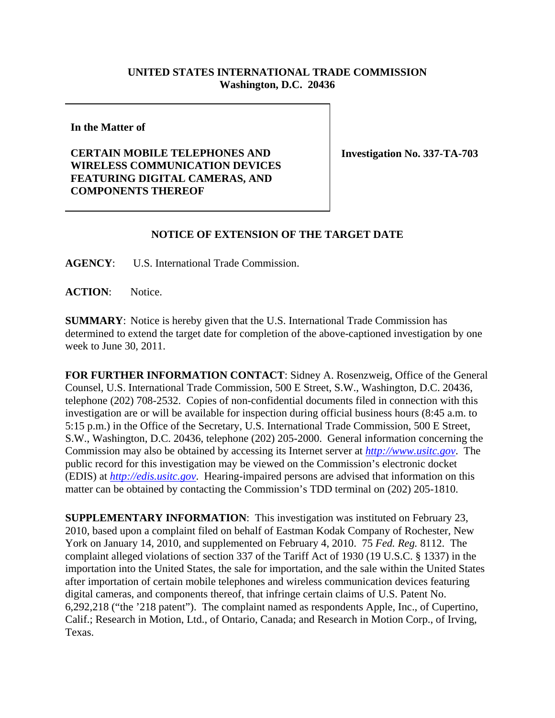## **UNITED STATES INTERNATIONAL TRADE COMMISSION Washington, D.C. 20436**

**In the Matter of** 

**CERTAIN MOBILE TELEPHONES AND WIRELESS COMMUNICATION DEVICES FEATURING DIGITAL CAMERAS, AND COMPONENTS THEREOF**

**Investigation No. 337-TA-703**

## **NOTICE OF EXTENSION OF THE TARGET DATE**

**AGENCY**: U.S. International Trade Commission.

ACTION: Notice.

**SUMMARY**: Notice is hereby given that the U.S. International Trade Commission has determined to extend the target date for completion of the above-captioned investigation by one week to June 30, 2011.

**FOR FURTHER INFORMATION CONTACT**: Sidney A. Rosenzweig, Office of the General Counsel, U.S. International Trade Commission, 500 E Street, S.W., Washington, D.C. 20436, telephone (202) 708-2532. Copies of non-confidential documents filed in connection with this investigation are or will be available for inspection during official business hours (8:45 a.m. to 5:15 p.m.) in the Office of the Secretary, U.S. International Trade Commission, 500 E Street, S.W., Washington, D.C. 20436, telephone (202) 205-2000. General information concerning the Commission may also be obtained by accessing its Internet server at *http://www.usitc.gov*. The public record for this investigation may be viewed on the Commission's electronic docket (EDIS) at *http://edis.usitc.gov*. Hearing-impaired persons are advised that information on this matter can be obtained by contacting the Commission's TDD terminal on (202) 205-1810.

**SUPPLEMENTARY INFORMATION**: This investigation was instituted on February 23, 2010, based upon a complaint filed on behalf of Eastman Kodak Company of Rochester, New York on January 14, 2010, and supplemented on February 4, 2010. 75 *Fed. Reg.* 8112. The complaint alleged violations of section 337 of the Tariff Act of 1930 (19 U.S.C. § 1337) in the importation into the United States, the sale for importation, and the sale within the United States after importation of certain mobile telephones and wireless communication devices featuring digital cameras, and components thereof, that infringe certain claims of U.S. Patent No. 6,292,218 ("the '218 patent"). The complaint named as respondents Apple, Inc., of Cupertino, Calif.; Research in Motion, Ltd., of Ontario, Canada; and Research in Motion Corp., of Irving, Texas.